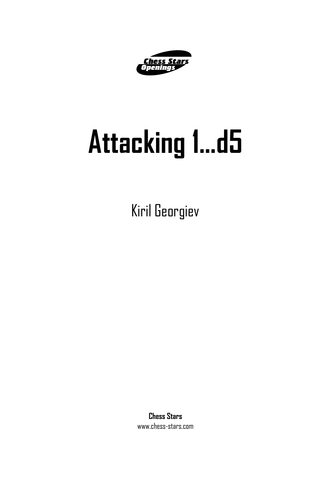

# **Attacking 1...d5**

Kiril Georgiev

**Chess Stars** www.chess-stars.com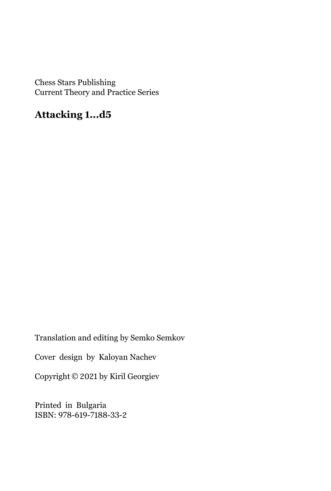Chess Stars Publishing Current Theory and Practice Series

#### **Attacking 1...d5**

Translation and editing by Semko Semkov

Cover design by Kaloyan Nachev

Copyright © 2021 by Kiril Georgiev

Printed in Bulgaria ISBN: 978-619-7188-33-2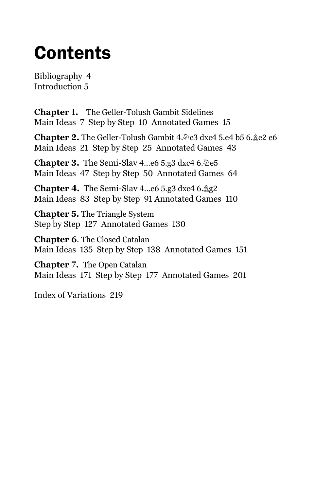# **Contents**

Bibliography 4 Introduction 5

**Chapter 1.** The Geller-Tolush Gambit Sidelines Main Ideas 7 Step by Step 10 Annotated Games 15

**Chapter 2.** The Geller-Tolush Gambit 4. De3 dxc4 5.e4 b5 6. Le2 e6 Main Ideas 21 Step by Step 25 Annotated Games 43

**Chapter 3.** The Semi-Slav 4...e6 5.g3 dxc4  $6.\&$ e5 Main Ideas 47 Step by Step 50 Annotated Games 64

**Chapter 4.** The Semi-Slav 4...e6 5.g3 dxc4  $6.\&$ g2 Main Ideas 83 Step by Step 91 Annotated Games 110

**Chapter 5.** The Triangle System Step by Step 127 Annotated Games 130

**Chapter 6**. The Closed Catalan Main Ideas 135 Step by Step 138 Annotated Games 151

**Chapter 7.** The Open Catalan Main Ideas 171 Step by Step 177 Annotated Games 201

Index of Variations 219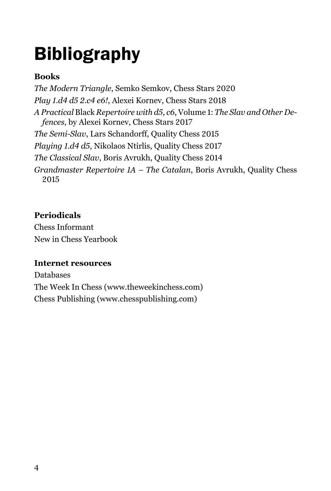# Bibliography

#### **Books**

*The Modern Triangle*, Semko Semkov, Chess Stars 2020 *Play 1.d4 d5 2.c4 e6!*, Alexei Kornev, Chess Stars 2018 *A Practical* Black *Repertoire with d5, c6*, Volume 1: *The Slav and Other Defences*, by Alexei Kornev, Chess Stars 2017 *The Semi-Slav*, Lars Schandorff, Quality Chess 2015 *Playing 1.d4 d5*, Nikolaos Ntirlis, Quality Chess 2017 *The Classical Slav*, Boris Avrukh, Quality Chess 2014 *Grandmaster Repertoire 1A – The Catalan*, Boris Avrukh, Quality Chess 2015

#### **Periodicals**

Chess Informant New in Chess Yearbook

#### **Internet resources**

Databases The Week In Chess (www.theweekinchess.com) Chess Publishing (www.chesspublishing.com)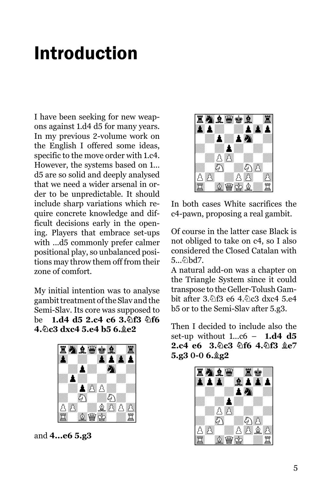### Introduction

I have been seeking for new weapons against 1.d4 d5 for many years. In my previous 2-volume work on the English I offered some ideas, specific to the move order with 1.c4. However, the systems based on 1... d5 are so solid and deeply analysed that we need a wider arsenal in order to be unpredictable. It should include sharp variations which require concrete knowledge and difficult decisions early in the opening. Players that embrace set-ups with ...d5 commonly prefer calmer positional play, so unbalanced positions may throw them off from their zone of comfort.

My initial intention was to analyse gambit treatment of the Slav and the Semi-Slav. Its core was supposed to be **1.d4 d5 2.c4 c6 3. hf3 hf6 4.Nc3 dxc4 5.e4 b5 6.Be2**



and **4...e6 5.g3**



In both cases White sacrifices the c4-pawn, proposing a real gambit.

Of course in the latter case Black is not obliged to take on c4, so I also considered the Closed Catalan with  $5...$  $\delta$ \bd7.

A natural add-on was a chapter on the Triangle System since it could transpose to the Geller-Tolush Gambit after 3.9f3 e6 4.9c3 dxc4 5.e4 b5 or to the Semi-Slav after 5.g3.

Then I decided to include also the set-up without 1...c6 – **1.d4 d5 2.c4 e6 3. c3 公f6 4. 公f3 食e7** 5.g3 0-0 6. g2

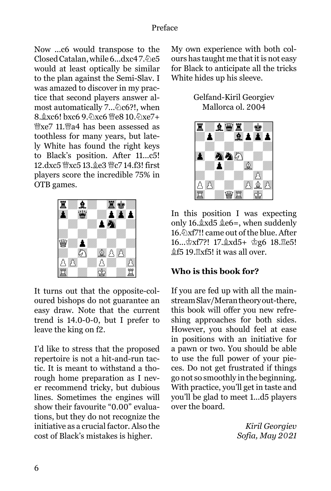Now ...c6 would transpose to the Closed Catalan, while 6...dxc47.2e5 would at least optically be similar to the plan against the Semi-Slav. I was amazed to discover in my practice that second players answer almost automatically 7... @c6?!, when  $8.\&\text{xc6}!$  bxc6  $9.\&\text{xc6}$   $\&\text{e}810.\&\text{xe}7+$ <sup>W</sup><sub>xe</sub>7 11.<sup>W</sup>a4 has been assessed as toothless for many years, but lately White has found the right keys to Black's position. After 11...c5! 12.dxc5 Wxc5 13. e3 Wc7 14.f3! first players score the incredible 75% in OTB games.



It turns out that the opposite-coloured bishops do not guarantee an easy draw. Note that the current trend is 14.0-0-0, but I prefer to leave the king on f2.

I'd like to stress that the proposed repertoire is not a hit-and-run tactic. It is meant to withstand a thorough home preparation as I never recommend tricky, but dubious lines. Sometimes the engines will show their favourite "0.00" evaluations, but they do not recognize the initiative as a crucial factor. Also the cost of Black's mistakes is higher.

My own experience with both colours has taught me that it is not easy for Black to anticipate all the tricks White hides up his sleeve.

> Gelfand-Kiril Georgiev Mallorca ol. 2004



In this position I was expecting only 16. xd5  $e$ e6=, when suddenly 16. $\Delta x$ f7!! came out of the blue. After 16...  $\Delta x$ f7?! 17.  $\Delta x$ d5+  $\Delta g$ 6 18.  $E$ e5! the \$£5 19. axf5! it was all over.

#### **Who is this book for?**

If you are fed up with all the mainstream Slav/Meran theory out-there, this book will offer you new refreshing approaches for both sides. However, you should feel at ease in positions with an initiative for a pawn or two. You should be able to use the full power of your pieces. Do not get frustrated if things go not so smoothly in the beginning. With practice, you'll get in taste and you'll be glad to meet 1...d5 players over the board.

> *Kiril Georgiev Sofia, May 2021*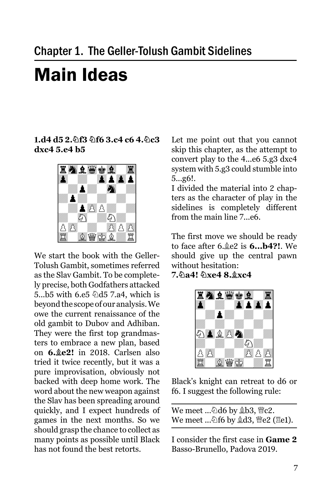# Main Ideas

**1.d4 d5 2.Nf3 Nf6 3.c4 c6 4.Nc3 dxc4 5.e4 b5**



We start the book with the Geller-Tolush Gambit, sometimes referred as the Slav Gambit. To be completely precise, both Godfathers attacked 5...b5 with 6.e5  $\triangle$ d5 7.a4, which is beyond the scope of our analysis. We owe the current renaissance of the old gambit to Dubov and Adhiban. They were the first top grandmasters to embrace a new plan, based on **6.Be2!** in 2018. Carlsen also tried it twice recently, but it was a pure improvisation, obviously not backed with deep home work. The word about the new weapon against the Slav has been spreading around quickly, and I expect hundreds of games in the next months. So we should grasp the chance to collect as many points as possible until Black has not found the best retorts.

Let me point out that you cannot skip this chapter, as the attempt to convert play to the 4...e6 5.g3 dxc4 system with 5.g3 could stumble into 5...g6!.

I divided the material into 2 chapters as the character of play in the sidelines is completely different from the main line 7...e6.

The first move we should be ready to face after 6. e<sup>2</sup> is **6... b4?!**. We should give up the central pawn without hesitation:

**7.Na4! Nxe4 8.Bxc4** 



Black's knight can retreat to d6 or f6. I suggest the following rule:

| We meet …��d6 by _��b3, 營c2.    |  |
|---------------------------------|--|
| We meet …മf6 by ଛd3, 營e2 (፰e1). |  |

I consider the first case in **Game 2** Basso-Brunello, Padova 2019.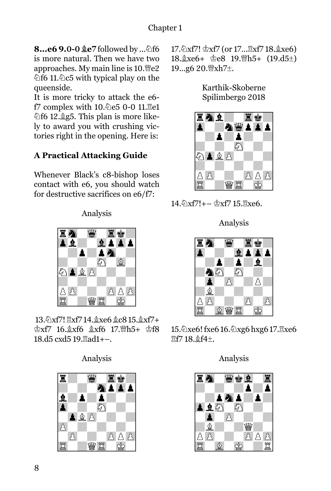**8...e6 9.0-0 ge7** followed by ... 2f6 is more natural. Then we have two approaches. My main line is  $10.\%2$  $\triangle$ f6 11. $\triangle$ c5 with typical play on the queenside.

It is more tricky to attack the e6 f7 complex with 10.2e5 0-0 11. Ee1  $\triangle$ f6 12. $\triangle$ g5. This plan is more likely to award you with crushing victories right in the opening. Here is:

#### **A Practical Attacking Guide**

Whenever Black's c8-bishop loses contact with e6, you should watch for destructive sacrifices on e6/f7:

Analysis



13.��xf7!  $\mathbb{E}[X]$  14.��xe6 ��c8 15.��xf7+  $\&xf7$  16. $\&xf6$   $\&xf6$  17.  $\&bf15 + \&f8$ 18.d5 cxd5 19. ad1+-.

Analysis



17. \frac{\math{2}}} \text{\math{2}} \text{\math{3}}\$ \text{\math{3}}\$ \text{\math{3}}\$ \text{\math{3}}\$ \text{\math{3}}\$ \text{\math{3}}\$ \text{\math{3}\$ \text{\math{3}\$ \text{\math{3}\$ \text{\math{3}\$ \text{\math{3}\$ \te 18. $\&$ xe6+  $\&$ e8 19. $\&$ h5+ (19.d5 $\pm$ ) 19...g6 20. lxh7±.

Karthik-Skoberne Spilimbergo 2018



 $14.\&\text{xf7}!+-\&\text{xf7}$  15. Rxe6.

Analysis



15. Zxe6! fxe6 16. Zxg6 hxg6 17. Exe6 Rf7 18.Bf4±.

Analysis

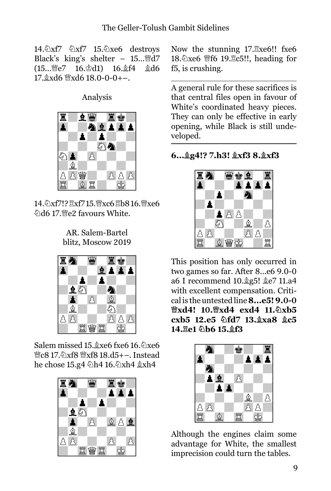14. Xf7 \& \xf7 \times 15. \& \xe6 \testroys Black's king's shelter –  $15...$   $\&d7$  $(15...$   $\&e$ 7  $16.\&d1)$   $16.\&f4$   $\&d6$  $17.\&$ xd6  $\&$ xd6 18.0-0-0+-.

Analysis



14. Xf7!?  $\mathbb{R}x$ f7 15. Wxc6  $\mathbb{R}b8$  16. Wxe6 外d6 17. We2 favours White.

AR. Salem-Bartel blitz, Moscow 2019



Salem missed 15. xe6 fxe6 16. 2xe6 **曾c8 17.公xf8 曾xf8 18.d5+–. Instead** he chose 15.g4 Dh4 16.Dxh4  $\&$ xh4



Now the stunning  $17.\overline{2}xe6!!$  fxe6 18. $\&$ xe6 \ff6 19. $\&$ c5!!, heading for f5, is crushing.

A general rule for these sacrifices is that central files open in favour of White's coordinated heavy pieces. They can only be effective in early opening, while Black is still undeveloped.

**6...Bg4!? 7.h3! Bxf3 8.Bxf3** 



This position has only occurred in two games so far. After 8...e6 9.0-0 a6 I recommend  $10.\text{\&}g5! \text{\&}e7 11.a4$ with excellent compensation. Critical is the untested line **8...e5! 9.0-0 Qxd4! 10.Qxd4 exd4 11.Nxb5 cxb5 12.e5 Nfd7 13.Bxa8 Bc5**  14. He1 2b6 15. gf3



Although the engines claim some advantage for White, the smallest imprecision could turn the tables.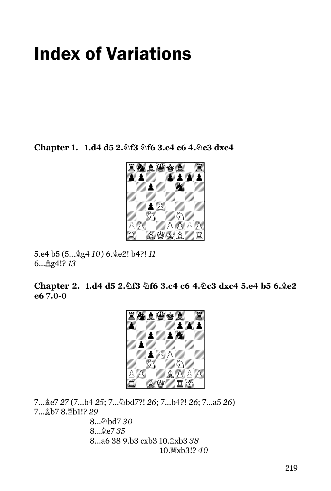## Index of Variations

**Chapter 1. 1.d4 d5 2. 9f3 9f6 3.c4 c6 4. 9c3 dxc4** 



5.e4 b5 (5...Bg4 *10*) 6.Be2! b4?! *11* 6...Bg4!? *13*

**Chapter 2. 1.d4 d5 2. f3 \f6 3.c4 c6 4. \c3 dxc4 5.e4 b5 6. \e2 e6 7.0-0** 



7...Be7 *27* (7...b4 *25*; 7...Nbd7?! *26*; 7...b4?! *26*; 7...a5 *26*) 7...Bb7 8.Rb1!? *29*

8... 2bd7 30 8...Be7 *35* 8...a6 38 9.b3 cxb3 10.Rxb3 *38* 10. Txb3!? 40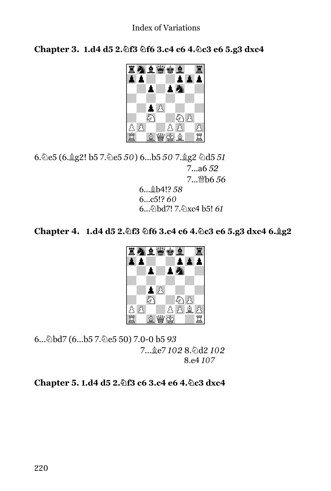**Chapter 3. 1.d4 d5 2. f3 \f6 3.c4 c6 4. \c3 e6 5.g3 dxc4** 



6.Ne5 (6.Bg2! b5 7.Ne5 *50*) 6...b5 *50* 7.Bg2 Nd5 *51* 7...a6 *52* 7...Qb6 *56*

6...Bb4!? *58* 6...c5!? *60* 6...Nbd7! 7.Nxc4 b5! *61*

**Chapter 4. 1.d4 d5 2. f3 @f6 3.c4 c6 4. @c3 e6 5.g3 dxc4 6. @g2** 



6...Nbd7 (6...b5 7.Ne5 50) 7.0-0 b5 *93*  $7...$  &e7  $1028$ . 幻d2  $102$ 8.e4 *107*

**Chapter 5. 1.d4 d5 2. 9f3 c6 3.c4 e6 4. 9c3 dxc4**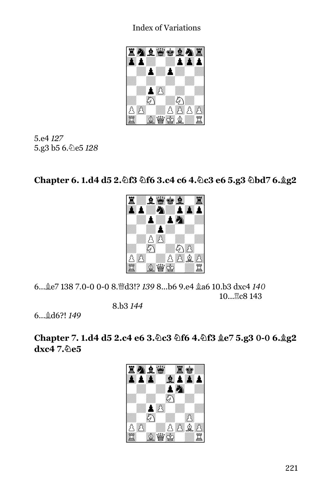Index of Variations



5.e4 *127* 5.g3 b5 6.@e5 128

**Chapter 6. 1.d4 d5 2. f3 \f6 3.c4 c6 4. \c3 e6 5.g3 \bd7 6. \g2** 



6...Be7 138 7.0-0 0-0 8.Qd3!? *139* 8...b6 9.e4 Ba6 10.b3 dxc4 *140* 10...<sup>g</sup>c8 143

8.b3 *144*

6...Bd6?! *149*

**Chapter 7. 1.d4 d5 2.c4 e6 3. c3 df6 4. f3**  $e$  **7 5.g3 0-0 6. g2 dxc4 7. De5**